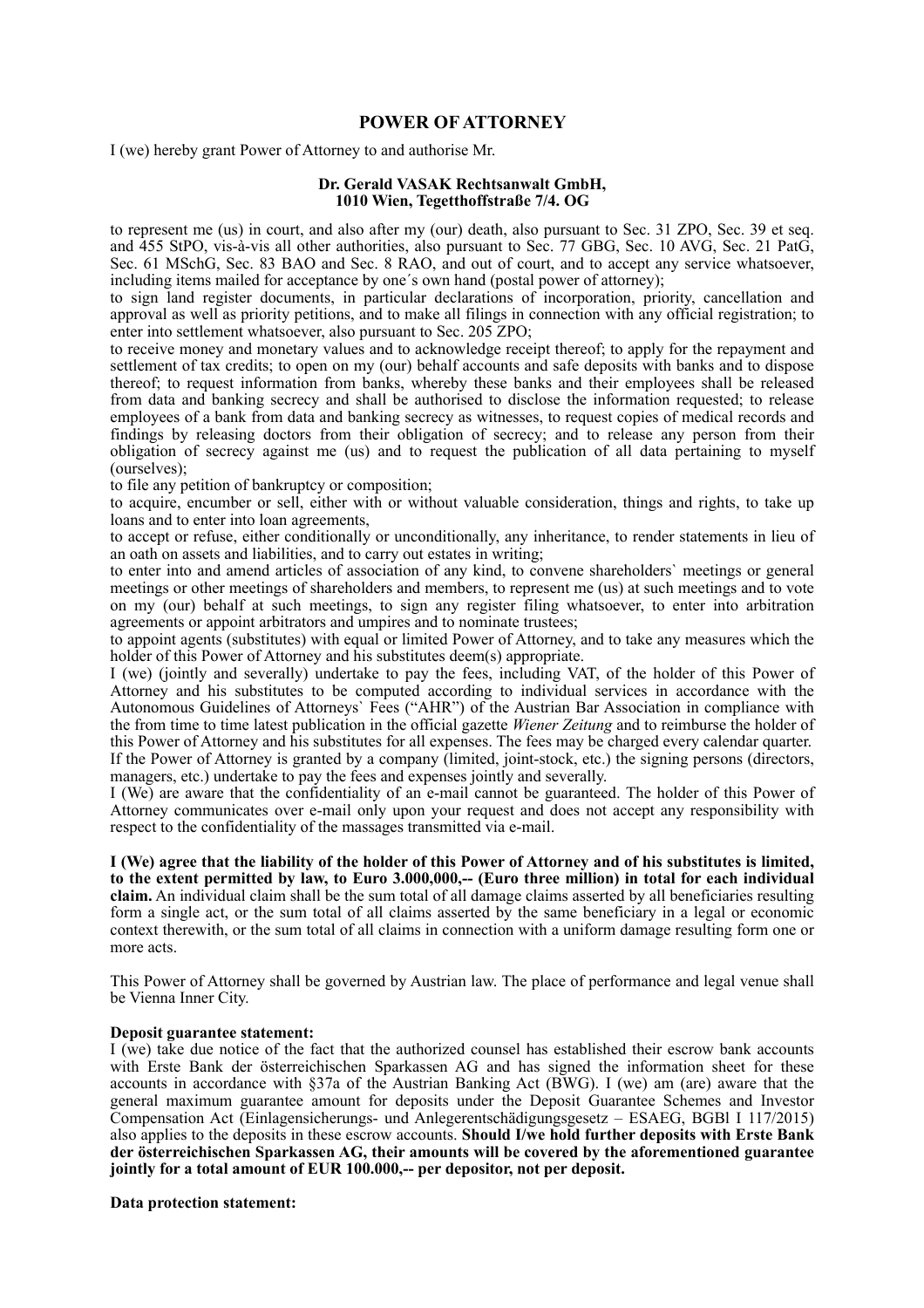## **POWER OF ATTORNEY**

I (we) hereby grant Power of Attorney to and authorise Mr.

## **Dr. Gerald VASAK Rechtsanwalt GmbH, 1010 Wien, Tegetthoffstraße 7/4. OG**

to represent me (us) in court, and also after my (our) death, also pursuant to Sec. 31 ZPO, Sec. 39 et seq. and 455 StPO, vis-à-vis all other authorities, also pursuant to Sec. 77 GBG, Sec. 10 AVG, Sec. 21 PatG, Sec. 61 MSchG, Sec. 83 BAO and Sec. 8 RAO, and out of court, and to accept any service whatsoever, including items mailed for acceptance by one´s own hand (postal power of attorney);

to sign land register documents, in particular declarations of incorporation, priority, cancellation and approval as well as priority petitions, and to make all filings in connection with any official registration; to enter into settlement whatsoever, also pursuant to Sec. 205 ZPO;

to receive money and monetary values and to acknowledge receipt thereof; to apply for the repayment and settlement of tax credits; to open on my (our) behalf accounts and safe deposits with banks and to dispose thereof; to request information from banks, whereby these banks and their employees shall be released from data and banking secrecy and shall be authorised to disclose the information requested; to release employees of a bank from data and banking secrecy as witnesses, to request copies of medical records and findings by releasing doctors from their obligation of secrecy; and to release any person from their obligation of secrecy against me (us) and to request the publication of all data pertaining to myself (ourselves);

to file any petition of bankruptcy or composition;

to acquire, encumber or sell, either with or without valuable consideration, things and rights, to take up loans and to enter into loan agreements,

to accept or refuse, either conditionally or unconditionally, any inheritance, to render statements in lieu of an oath on assets and liabilities, and to carry out estates in writing;

to enter into and amend articles of association of any kind, to convene shareholders` meetings or general meetings or other meetings of shareholders and members, to represent me (us) at such meetings and to vote on my (our) behalf at such meetings, to sign any register filing whatsoever, to enter into arbitration agreements or appoint arbitrators and umpires and to nominate trustees;

to appoint agents (substitutes) with equal or limited Power of Attorney, and to take any measures which the holder of this Power of Attorney and his substitutes deem(s) appropriate.

I (we) (jointly and severally) undertake to pay the fees, including VAT, of the holder of this Power of Attorney and his substitutes to be computed according to individual services in accordance with the Autonomous Guidelines of Attorneys` Fees ("AHR") of the Austrian Bar Association in compliance with the from time to time latest publication in the official gazette *Wiener Zeitung* and to reimburse the holder of this Power of Attorney and his substitutes for all expenses. The fees may be charged every calendar quarter. If the Power of Attorney is granted by a company (limited, joint-stock, etc.) the signing persons (directors, managers, etc.) undertake to pay the fees and expenses jointly and severally.

I (We) are aware that the confidentiality of an e-mail cannot be guaranteed. The holder of this Power of Attorney communicates over e-mail only upon your request and does not accept any responsibility with respect to the confidentiality of the massages transmitted via e-mail.

**I (We) agree that the liability of the holder of this Power of Attorney and of his substitutes is limited, to the extent permitted by law, to Euro 3.000,000,-- (Euro three million) in total for each individual claim.** An individual claim shall be the sum total of all damage claims asserted by all beneficiaries resulting form a single act, or the sum total of all claims asserted by the same beneficiary in a legal or economic context therewith, or the sum total of all claims in connection with a uniform damage resulting form one or more acts.

This Power of Attorney shall be governed by Austrian law. The place of performance and legal venue shall be Vienna Inner City.

## **Deposit guarantee statement:**

I (we) take due notice of the fact that the authorized counsel has established their escrow bank accounts with Erste Bank der österreichischen Sparkassen AG and has signed the information sheet for these accounts in accordance with §37a of the Austrian Banking Act (BWG). I (we) am (are) aware that the general maximum guarantee amount for deposits under the Deposit Guarantee Schemes and Investor Compensation Act (Einlagensicherungs- und Anlegerentschädigungsgesetz – ESAEG, BGBl I 117/2015) also applies to the deposits in these escrow accounts. **Should I/we hold further deposits with Erste Bank der österreichischen Sparkassen AG, their amounts will be covered by the aforementioned guarantee jointly for a total amount of EUR 100.000,-- per depositor, not per deposit.**

## **Data protection statement:**